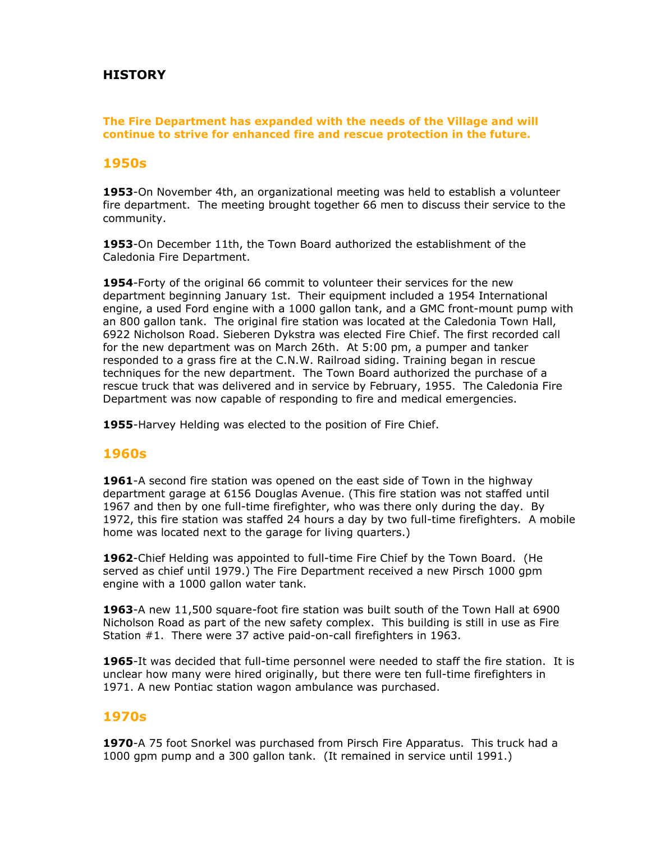# **HISTORY**

#### **The Fire Department has expanded with the needs of the Village and will continue to strive for enhanced fire and rescue protection in the future.**

### **1950s**

**1953**-On November 4th, an organizational meeting was held to establish a volunteer fire department. The meeting brought together 66 men to discuss their service to the community.

**1953**-On December 11th, the Town Board authorized the establishment of the Caledonia Fire Department.

**1954**-Forty of the original 66 commit to volunteer their services for the new department beginning January 1st. Their equipment included a 1954 International engine, a used Ford engine with a 1000 gallon tank, and a GMC front-mount pump with an 800 gallon tank. The original fire station was located at the Caledonia Town Hall, 6922 Nicholson Road. Sieberen Dykstra was elected Fire Chief. The first recorded call for the new department was on March 26th. At 5:00 pm, a pumper and tanker responded to a grass fire at the C.N.W. Railroad siding. Training began in rescue techniques for the new department. The Town Board authorized the purchase of a rescue truck that was delivered and in service by February, 1955. The Caledonia Fire Department was now capable of responding to fire and medical emergencies.

**1955**-Harvey Helding was elected to the position of Fire Chief.

### **1960s**

**1961**-A second fire station was opened on the east side of Town in the highway department garage at 6156 Douglas Avenue. (This fire station was not staffed until 1967 and then by one full-time firefighter, who was there only during the day. By 1972, this fire station was staffed 24 hours a day by two full-time firefighters. A mobile home was located next to the garage for living quarters.)

**1962**-Chief Helding was appointed to full-time Fire Chief by the Town Board. (He served as chief until 1979.) The Fire Department received a new Pirsch 1000 gpm engine with a 1000 gallon water tank.

**1963**-A new 11,500 square-foot fire station was built south of the Town Hall at 6900 Nicholson Road as part of the new safety complex. This building is still in use as Fire Station #1. There were 37 active paid-on-call firefighters in 1963.

**1965**-It was decided that full-time personnel were needed to staff the fire station. It is unclear how many were hired originally, but there were ten full-time firefighters in 1971. A new Pontiac station wagon ambulance was purchased.

### **1970s**

**1970**-A 75 foot Snorkel was purchased from Pirsch Fire Apparatus. This truck had a 1000 gpm pump and a 300 gallon tank. (It remained in service until 1991.)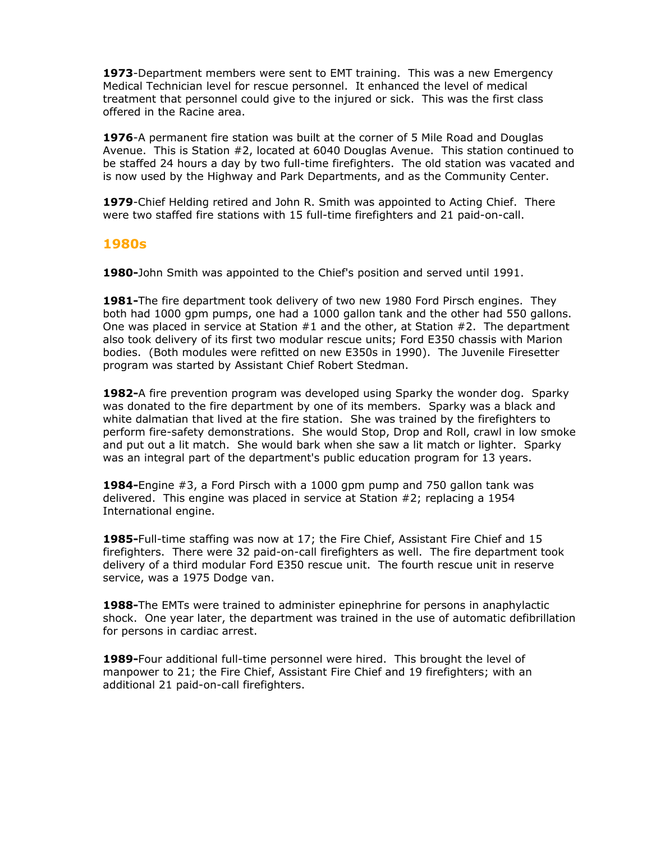**1973**-Department members were sent to EMT training. This was a new Emergency Medical Technician level for rescue personnel. It enhanced the level of medical treatment that personnel could give to the injured or sick. This was the first class offered in the Racine area.

**1976**-A permanent fire station was built at the corner of 5 Mile Road and Douglas Avenue. This is Station #2, located at 6040 Douglas Avenue. This station continued to be staffed 24 hours a day by two full-time firefighters. The old station was vacated and is now used by the Highway and Park Departments, and as the Community Center.

**1979**-Chief Helding retired and John R. Smith was appointed to Acting Chief. There were two staffed fire stations with 15 full-time firefighters and 21 paid-on-call.

#### **1980s**

**1980-**John Smith was appointed to the Chief's position and served until 1991.

**1981-**The fire department took delivery of two new 1980 Ford Pirsch engines. They both had 1000 gpm pumps, one had a 1000 gallon tank and the other had 550 gallons. One was placed in service at Station #1 and the other, at Station #2. The department also took delivery of its first two modular rescue units; Ford E350 chassis with Marion bodies. (Both modules were refitted on new E350s in 1990). The Juvenile Firesetter program was started by Assistant Chief Robert Stedman.

**1982-**A fire prevention program was developed using Sparky the wonder dog. Sparky was donated to the fire department by one of its members. Sparky was a black and white dalmatian that lived at the fire station. She was trained by the firefighters to perform fire-safety demonstrations. She would Stop, Drop and Roll, crawl in low smoke and put out a lit match. She would bark when she saw a lit match or lighter. Sparky was an integral part of the department's public education program for 13 years.

**1984-**Engine #3, a Ford Pirsch with a 1000 gpm pump and 750 gallon tank was delivered. This engine was placed in service at Station #2; replacing a 1954 International engine.

**1985-**Full-time staffing was now at 17; the Fire Chief, Assistant Fire Chief and 15 firefighters. There were 32 paid-on-call firefighters as well. The fire department took delivery of a third modular Ford E350 rescue unit. The fourth rescue unit in reserve service, was a 1975 Dodge van.

**1988-**The EMTs were trained to administer epinephrine for persons in anaphylactic shock. One year later, the department was trained in the use of automatic defibrillation for persons in cardiac arrest.

**1989-**Four additional full-time personnel were hired. This brought the level of manpower to 21; the Fire Chief, Assistant Fire Chief and 19 firefighters; with an additional 21 paid-on-call firefighters.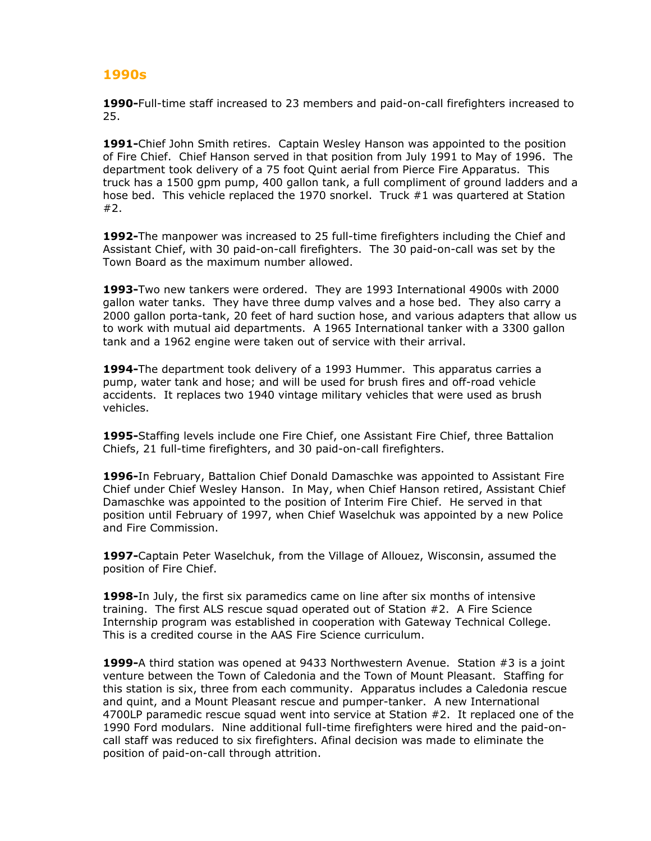## **1990s**

**1990-**Full-time staff increased to 23 members and paid-on-call firefighters increased to 25.

**1991-**Chief John Smith retires. Captain Wesley Hanson was appointed to the position of Fire Chief. Chief Hanson served in that position from July 1991 to May of 1996. The department took delivery of a 75 foot Quint aerial from Pierce Fire Apparatus. This truck has a 1500 gpm pump, 400 gallon tank, a full compliment of ground ladders and a hose bed. This vehicle replaced the 1970 snorkel. Truck #1 was quartered at Station #2.

**1992-**The manpower was increased to 25 full-time firefighters including the Chief and Assistant Chief, with 30 paid-on-call firefighters. The 30 paid-on-call was set by the Town Board as the maximum number allowed.

**1993-**Two new tankers were ordered. They are 1993 International 4900s with 2000 gallon water tanks. They have three dump valves and a hose bed. They also carry a 2000 gallon porta-tank, 20 feet of hard suction hose, and various adapters that allow us to work with mutual aid departments. A 1965 International tanker with a 3300 gallon tank and a 1962 engine were taken out of service with their arrival.

**1994-**The department took delivery of a 1993 Hummer. This apparatus carries a pump, water tank and hose; and will be used for brush fires and off-road vehicle accidents. It replaces two 1940 vintage military vehicles that were used as brush vehicles.

**1995-**Staffing levels include one Fire Chief, one Assistant Fire Chief, three Battalion Chiefs, 21 full-time firefighters, and 30 paid-on-call firefighters.

**1996-**In February, Battalion Chief Donald Damaschke was appointed to Assistant Fire Chief under Chief Wesley Hanson. In May, when Chief Hanson retired, Assistant Chief Damaschke was appointed to the position of Interim Fire Chief. He served in that position until February of 1997, when Chief Waselchuk was appointed by a new Police and Fire Commission.

**1997-**Captain Peter Waselchuk, from the Village of Allouez, Wisconsin, assumed the position of Fire Chief.

**1998-**In July, the first six paramedics came on line after six months of intensive training. The first ALS rescue squad operated out of Station #2. A Fire Science Internship program was established in cooperation with Gateway Technical College. This is a credited course in the AAS Fire Science curriculum.

**1999-**A third station was opened at 9433 Northwestern Avenue. Station #3 is a joint venture between the Town of Caledonia and the Town of Mount Pleasant. Staffing for this station is six, three from each community. Apparatus includes a Caledonia rescue and quint, and a Mount Pleasant rescue and pumper-tanker. A new International 4700LP paramedic rescue squad went into service at Station #2. It replaced one of the 1990 Ford modulars. Nine additional full-time firefighters were hired and the paid-oncall staff was reduced to six firefighters. Afinal decision was made to eliminate the position of paid-on-call through attrition.